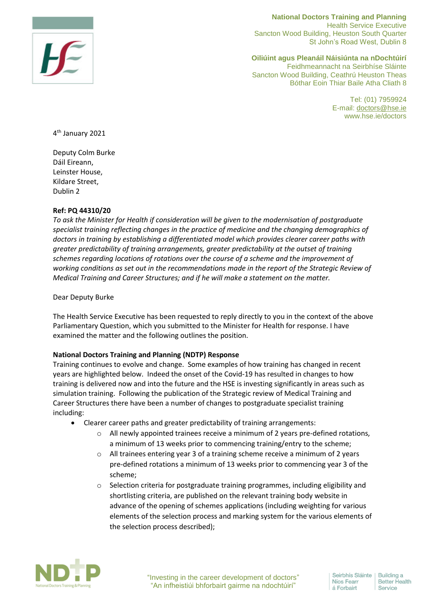

**National Doctors Training and Planning**  Health Service Executive Sancton Wood Building, Heuston South Quarter St John's Road West, Dublin 8

**Oiliúint agus Pleanáil Náisiúnta na nDochtúirí** Feidhmeannacht na Seirbhíse Sláinte Sancton Wood Building, Ceathrú Heuston Theas Bóthar Eoin Thiar Baile Atha Cliath 8

> Tel: (01) 7959924 E-mail: [doctors@hse.ie](mailto:doctors@hse.ie) www.hse.ie/doctors

4 th January 2021

Deputy Colm Burke Dáil Eireann, Leinster House, Kildare Street, Dublin 2

## **Ref: PQ 44310/20**

*To ask the Minister for Health if consideration will be given to the modernisation of postgraduate specialist training reflecting changes in the practice of medicine and the changing demographics of doctors in training by establishing a differentiated model which provides clearer career paths with greater predictability of training arrangements, greater predictability at the outset of training schemes regarding locations of rotations over the course of a scheme and the improvement of working conditions as set out in the recommendations made in the report of the Strategic Review of Medical Training and Career Structures; and if he will make a statement on the matter.*

Dear Deputy Burke

The Health Service Executive has been requested to reply directly to you in the context of the above Parliamentary Question, which you submitted to the Minister for Health for response. I have examined the matter and the following outlines the position.

## **National Doctors Training and Planning (NDTP) Response**

Training continues to evolve and change. Some examples of how training has changed in recent years are highlighted below. Indeed the onset of the Covid-19 has resulted in changes to how training is delivered now and into the future and the HSE is investing significantly in areas such as simulation training. Following the publication of the Strategic review of Medical Training and Career Structures there have been a number of changes to postgraduate specialist training including:

- Clearer career paths and greater predictability of training arrangements:
	- o All newly appointed trainees receive a minimum of 2 years pre-defined rotations, a minimum of 13 weeks prior to commencing training/entry to the scheme;
	- o All trainees entering year 3 of a training scheme receive a minimum of 2 years pre-defined rotations a minimum of 13 weeks prior to commencing year 3 of the scheme;
	- $\circ$  Selection criteria for postgraduate training programmes, including eligibility and shortlisting criteria, are published on the relevant training body website in advance of the opening of schemes applications (including weighting for various elements of the selection process and marking system for the various elements of the selection process described);

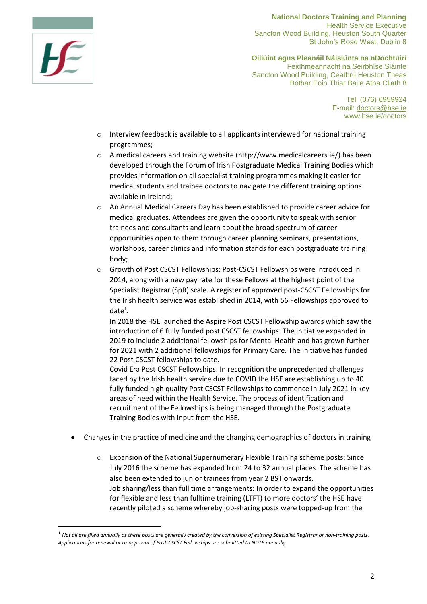

-

**National Doctors Training and Planning**  Health Service Executive Sancton Wood Building, Heuston South Quarter St John's Road West, Dublin 8

**Oiliúint agus Pleanáil Náisiúnta na nDochtúirí** Feidhmeannacht na Seirbhíse Sláinte Sancton Wood Building, Ceathrú Heuston Theas Bóthar Eoin Thiar Baile Atha Cliath 8

> Tel: (076) 6959924 E-mail: [doctors@hse.ie](mailto:doctors@hse.ie) www.hse.ie/doctors

- $\circ$  Interview feedback is available to all applicants interviewed for national training programmes;
- $\circ$  A medical careers and training website [\(http://www.medicalcareers.ie/\)](http://www.medicalcareers.ie/) has been developed through the Forum of Irish Postgraduate Medical Training Bodies which provides information on all specialist training programmes making it easier for medical students and trainee doctors to navigate the different training options available in Ireland;
- o An Annual Medical Careers Day has been established to provide career advice for medical graduates. Attendees are given the opportunity to speak with senior trainees and consultants and learn about the broad spectrum of career opportunities open to them through career planning seminars, presentations, workshops, career clinics and information stands for each postgraduate training body;
- o Growth of Post CSCST Fellowships: Post-CSCST Fellowships were introduced in 2014, along with a new pay rate for these Fellows at the highest point of the Specialist Registrar (SpR) scale. A register of approved post-CSCST Fellowships for the Irish health service was established in 2014, with 56 Fellowships approved to  $date^1$ .

In 2018 the HSE launched the Aspire Post CSCST Fellowship awards which saw the introduction of 6 fully funded post CSCST fellowships. The initiative expanded in 2019 to include 2 additional fellowships for Mental Health and has grown further for 2021 with 2 additional fellowships for Primary Care. The initiative has funded 22 Post CSCST fellowships to date.

Covid Era Post CSCST Fellowships: In recognition the unprecedented challenges faced by the Irish health service due to COVID the HSE are establishing up to 40 fully funded high quality Post CSCST Fellowships to commence in July 2021 in key areas of need within the Health Service. The process of identification and recruitment of the Fellowships is being managed through the Postgraduate Training Bodies with input from the HSE.

- Changes in the practice of medicine and the changing demographics of doctors in training
	- o Expansion of the National Supernumerary Flexible Training scheme posts: Since July 2016 the scheme has expanded from 24 to 32 annual places. The scheme has also been extended to junior trainees from year 2 BST onwards. Job sharing/less than full time arrangements: In order to expand the opportunities for flexible and less than fulltime training (LTFT) to more doctors' the HSE have recently piloted a scheme whereby job-sharing posts were topped-up from the

<sup>1</sup> *Not all are filled annually as these posts are generally created by the conversion of existing Specialist Registrar or non-training posts. Applications for renewal or re-approval of Post-CSCST Fellowships are submitted to NDTP annually*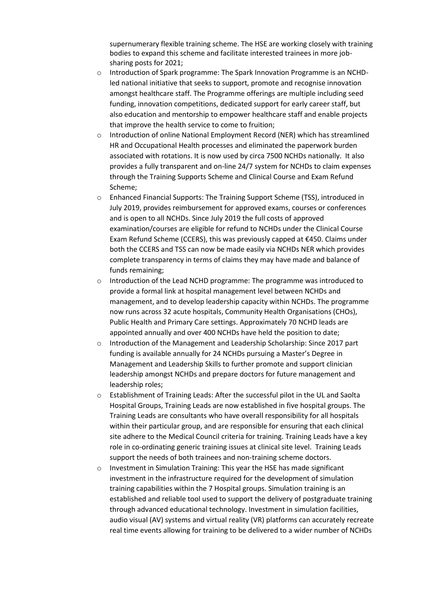supernumerary flexible training scheme. The HSE are working closely with training bodies to expand this scheme and facilitate interested trainees in more jobsharing posts for 2021;

- o Introduction of Spark programme: The Spark Innovation Programme is an NCHDled national initiative that seeks to support, promote and recognise innovation amongst healthcare staff. The Programme offerings are multiple including seed funding, innovation competitions, dedicated support for early career staff, but also education and mentorship to empower healthcare staff and enable projects that improve the health service to come to fruition;
- $\circ$  Introduction of online National Employment Record (NER) which has streamlined HR and Occupational Health processes and eliminated the paperwork burden associated with rotations. It is now used by circa 7500 NCHDs nationally. It also provides a fully transparent and on-line 24/7 system for NCHDs to claim expenses through the Training Supports Scheme and Clinical Course and Exam Refund Scheme;
- o Enhanced Financial Supports: The Training Support Scheme (TSS), introduced in July 2019, provides reimbursement for approved exams, courses or conferences and is open to all NCHDs. Since July 2019 the full costs of approved examination/courses are eligible for refund to NCHDs under the Clinical Course Exam Refund Scheme (CCERS), this was previously capped at €450. Claims under both the CCERS and TSS can now be made easily via NCHDs NER which provides complete transparency in terms of claims they may have made and balance of funds remaining;
- $\circ$  Introduction of the Lead NCHD programme: The programme was introduced to provide a formal link at hospital management level between NCHDs and management, and to develop leadership capacity within NCHDs. The programme now runs across 32 acute hospitals, Community Health Organisations (CHOs), Public Health and Primary Care settings. Approximately 70 NCHD leads are appointed annually and over 400 NCHDs have held the position to date;
- o Introduction of the Management and Leadership Scholarship: Since 2017 part funding is available annually for 24 NCHDs pursuing a Master's Degree in Management and Leadership Skills to further promote and support clinician leadership amongst NCHDs and prepare doctors for future management and leadership roles;
- o Establishment of Training Leads: After the successful pilot in the UL and Saolta Hospital Groups, Training Leads are now established in five hospital groups. The Training Leads are consultants who have overall responsibility for all hospitals within their particular group, and are responsible for ensuring that each clinical site adhere to the Medical Council criteria for training. Training Leads have a key role in co-ordinating generic training issues at clinical site level. Training Leads support the needs of both trainees and non-training scheme doctors.
- o Investment in Simulation Training: This year the HSE has made significant investment in the infrastructure required for the development of simulation training capabilities within the 7 Hospital groups. Simulation training is an established and reliable tool used to support the delivery of postgraduate training through advanced educational technology. Investment in simulation facilities, audio visual (AV) systems and virtual reality (VR) platforms can accurately recreate real time events allowing for training to be delivered to a wider number of NCHDs